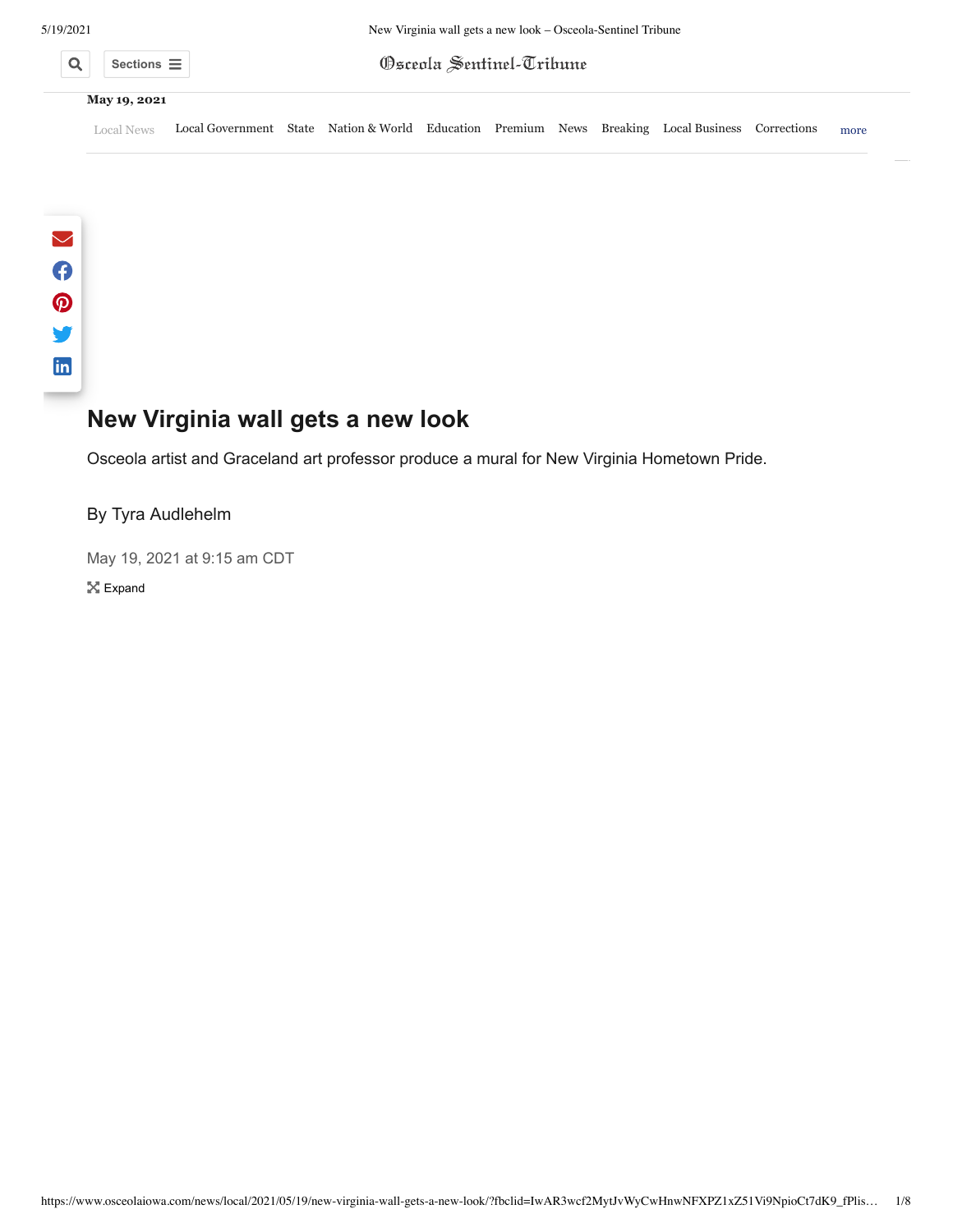

|                     | Sections $\equiv$ $\mid$ | <b>Osceola Sentinel-Tribune</b> |  |
|---------------------|--------------------------|---------------------------------|--|
| <b>May 19, 2021</b> |                          |                                 |  |

[Local News](https://www.osceolaiowa.com/news/local/) [Local Government](https://www.osceolaiowa.com/news/local-government/) [State](https://www.osceolaiowa.com/news/state/) [Nation & World](https://www.osceolaiowa.com/news/nation-and-world/) [Education](https://www.osceolaiowa.com/news/education/) [Premium](https://www.osceolaiowa.com/news/premium/) [News](https://www.osceolaiowa.com/news/agricultre/) [Breaking](https://www.osceolaiowa.com/news/breaking/) [Local Business](https://www.osceolaiowa.com/news/local-business/) [Corrections](https://www.osceolaiowa.com/news/corrections/) more

# **New Virginia wall gets a new look**

Osceola artist and Graceland art professor produce a mural for New Virginia Hometown Pride.

## By [Tyra Audlehelm](https://www.osceolaiowa.com/news/local/2021/05/19/new-virginia-wall-gets-a-new-look/?fbclid=IwAR3wcf2MytJvWyCwHnwNFXPZ1xZ51Vi9NpioCt7dK9_fPlis4xnklsxf_mo)

May 19, 2021 at 9:15 am CDT **X** Expand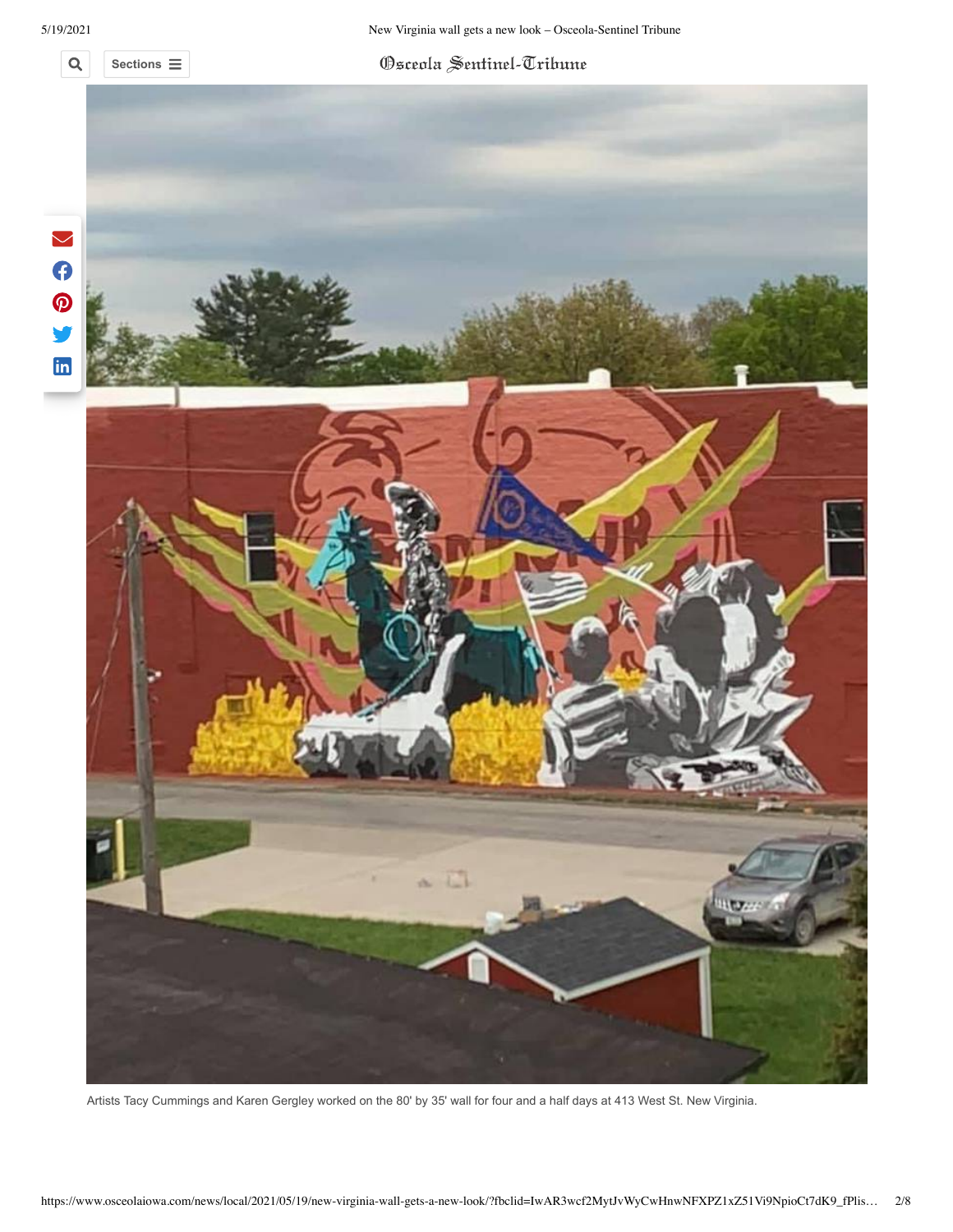5/19/2021 New Virginia wall gets a new look – Osceola-Sentinel Tribune

#### $\alpha$ **Sections**

Osceola Sentinel-Tribune



Artists Tacy Cummings and Karen Gergley worked on the 80' by 35' wall for four and a half days at 413 West St. New Virginia.